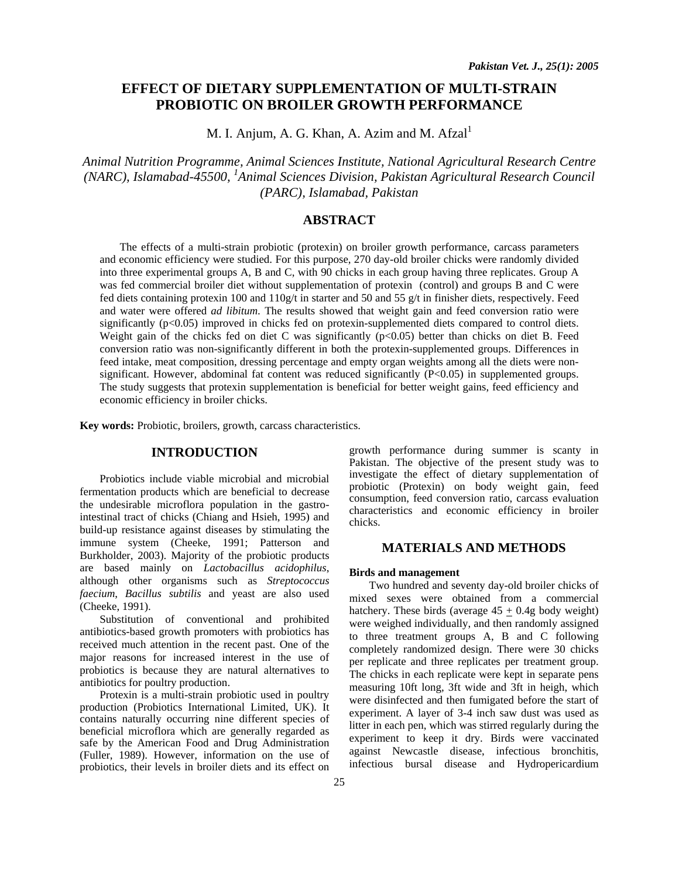# **EFFECT OF DIETARY SUPPLEMENTATION OF MULTI-STRAIN PROBIOTIC ON BROILER GROWTH PERFORMANCE**

M. I. Anjum, A. G. Khan, A. Azim and M.  $Afaal<sup>1</sup>$ 

*Animal Nutrition Programme, Animal Sciences Institute, National Agricultural Research Centre (NARC), Islamabad-45500, 1 Animal Sciences Division, Pakistan Agricultural Research Council (PARC), Islamabad, Pakistan* 

## **ABSTRACT**

The effects of a multi-strain probiotic (protexin) on broiler growth performance, carcass parameters and economic efficiency were studied. For this purpose, 270 day-old broiler chicks were randomly divided into three experimental groups A, B and C, with 90 chicks in each group having three replicates. Group A was fed commercial broiler diet without supplementation of protexin (control) and groups B and C were fed diets containing protexin 100 and 110g/t in starter and 50 and 55 g/t in finisher diets, respectively. Feed and water were offered *ad libitum*. The results showed that weight gain and feed conversion ratio were significantly (p<0.05) improved in chicks fed on protexin-supplemented diets compared to control diets. Weight gain of the chicks fed on diet C was significantly  $(p<0.05)$  better than chicks on diet B. Feed conversion ratio was non-significantly different in both the protexin-supplemented groups. Differences in feed intake, meat composition, dressing percentage and empty organ weights among all the diets were nonsignificant. However, abdominal fat content was reduced significantly (P<0.05) in supplemented groups. The study suggests that protexin supplementation is beneficial for better weight gains, feed efficiency and economic efficiency in broiler chicks.

**Key words:** Probiotic, broilers, growth, carcass characteristics.

### **INTRODUCTION**

Probiotics include viable microbial and microbial fermentation products which are beneficial to decrease the undesirable microflora population in the gastrointestinal tract of chicks (Chiang and Hsieh, 1995) and build-up resistance against diseases by stimulating the immune system (Cheeke, 1991; Patterson and Burkholder, 2003). Majority of the probiotic products are based mainly on *Lactobacillus acidophilus*, although other organisms such as *Streptococcus faecium*, *Bacillus subtilis* and yeast are also used (Cheeke, 1991).

Substitution of conventional and prohibited antibiotics-based growth promoters with probiotics has received much attention in the recent past. One of the major reasons for increased interest in the use of probiotics is because they are natural alternatives to antibiotics for poultry production.

Protexin is a multi-strain probiotic used in poultry production (Probiotics International Limited, UK). It contains naturally occurring nine different species of beneficial microflora which are generally regarded as safe by the American Food and Drug Administration (Fuller, 1989). However, information on the use of probiotics, their levels in broiler diets and its effect on

growth performance during summer is scanty in Pakistan. The objective of the present study was to investigate the effect of dietary supplementation of probiotic (Protexin) on body weight gain, feed consumption, feed conversion ratio, carcass evaluation characteristics and economic efficiency in broiler chicks.

### **MATERIALS AND METHODS**

### **Birds and management**

Two hundred and seventy day-old broiler chicks of mixed sexes were obtained from a commercial hatchery. These birds (average  $45 + 0.4$ g body weight) were weighed individually, and then randomly assigned to three treatment groups A, B and C following completely randomized design. There were 30 chicks per replicate and three replicates per treatment group. The chicks in each replicate were kept in separate pens measuring 10ft long, 3ft wide and 3ft in heigh, which were disinfected and then fumigated before the start of experiment. A layer of 3-4 inch saw dust was used as litter in each pen, which was stirred regularly during the experiment to keep it dry. Birds were vaccinated against Newcastle disease, infectious bronchitis, infectious bursal disease and Hydropericardium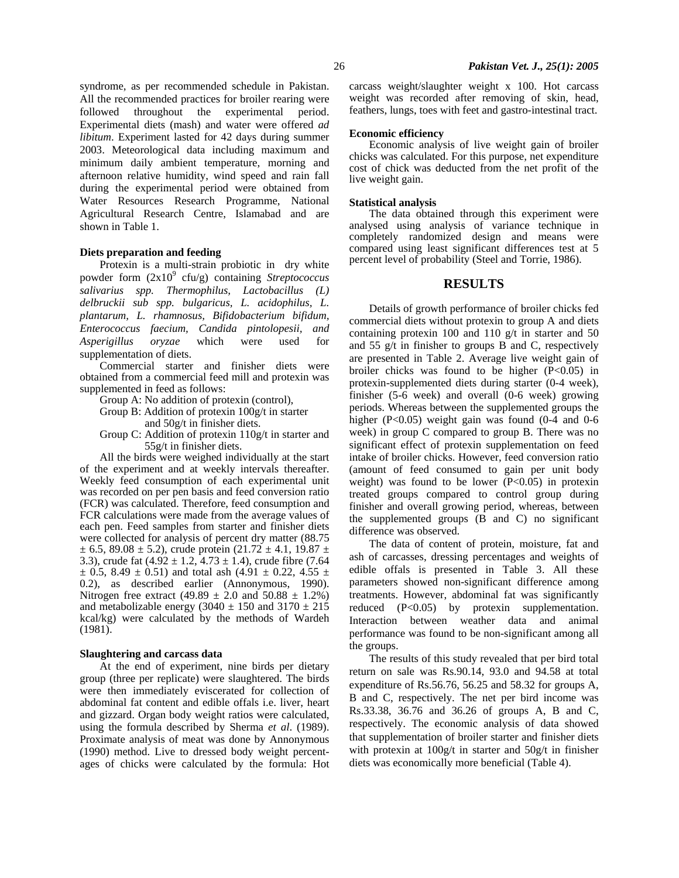syndrome, as per recommended schedule in Pakistan. All the recommended practices for broiler rearing were followed throughout the experimental period. Experimental diets (mash) and water were offered *ad libitum*. Experiment lasted for 42 days during summer 2003. Meteorological data including maximum and minimum daily ambient temperature, morning and afternoon relative humidity, wind speed and rain fall during the experimental period were obtained from Water Resources Research Programme, National Agricultural Research Centre, Islamabad and are shown in Table 1.

#### **Diets preparation and feeding**

Protexin is a multi-strain probiotic in dry white powder form  $(2x10^9 \text{ cfu/g})$  containing *Streptococcus salivarius spp. Thermophilus, Lactobacillus (L) delbruckii sub spp. bulgaricus, L. acidophilus, L. plantarum, L. rhamnosus, Bifidobacterium bifidum, Enterococcus faecium, Candida pintolopesii, and Asperigillus oryzae* which were used for supplementation of diets.

Commercial starter and finisher diets were obtained from a commercial feed mill and protexin was supplemented in feed as follows:

Group A: No addition of protexin (control),

Group B: Addition of protexin 100g/t in starter

and 50g/t in finisher diets.

Group C: Addition of protexin 110g/t in starter and 55g/t in finisher diets.

All the birds were weighed individually at the start of the experiment and at weekly intervals thereafter. Weekly feed consumption of each experimental unit was recorded on per pen basis and feed conversion ratio (FCR) was calculated. Therefore, feed consumption and FCR calculations were made from the average values of each pen. Feed samples from starter and finisher diets were collected for analysis of percent dry matter (88.75  $\pm$  6.5, 89.08  $\pm$  5.2), crude protein (21.72  $\pm$  4.1, 19.87  $\pm$ 3.3), crude fat  $(4.92 \pm 1.2, 4.73 \pm 1.4)$ , crude fibre  $(7.64)$  $\pm$  0.5, 8.49  $\pm$  0.51) and total ash (4.91  $\pm$  0.22, 4.55  $\pm$ 0.2), as described earlier (Annonymous, 1990). Nitrogen free extract (49.89  $\pm$  2.0 and 50.88  $\pm$  1.2%) and metabolizable energy (3040  $\pm$  150 and 3170  $\pm$  215 kcal/kg) were calculated by the methods of Wardeh (1981).

#### **Slaughtering and carcass data**

At the end of experiment, nine birds per dietary group (three per replicate) were slaughtered. The birds were then immediately eviscerated for collection of abdominal fat content and edible offals i.e. liver, heart and gizzard. Organ body weight ratios were calculated, using the formula described by Sherma *et al*. (1989). Proximate analysis of meat was done by Annonymous (1990) method. Live to dressed body weight percentages of chicks were calculated by the formula: Hot

carcass weight/slaughter weight x 100. Hot carcass weight was recorded after removing of skin, head, feathers, lungs, toes with feet and gastro-intestinal tract.

#### **Economic efficiency**

Economic analysis of live weight gain of broiler chicks was calculated. For this purpose, net expenditure cost of chick was deducted from the net profit of the live weight gain.

#### **Statistical analysis**

The data obtained through this experiment were analysed using analysis of variance technique in completely randomized design and means were compared using least significant differences test at 5 percent level of probability (Steel and Torrie, 1986).

#### **RESULTS**

Details of growth performance of broiler chicks fed commercial diets without protexin to group A and diets containing protexin 100 and 110 g/t in starter and 50 and 55 g/t in finisher to groups B and C, respectively are presented in Table 2. Average live weight gain of broiler chicks was found to be higher  $(P<0.05)$  in protexin-supplemented diets during starter (0-4 week), finisher (5-6 week) and overall (0-6 week) growing periods. Whereas between the supplemented groups the higher  $(P<0.05)$  weight gain was found  $(0-4)$  and  $0-6$ week) in group C compared to group B. There was no significant effect of protexin supplementation on feed intake of broiler chicks. However, feed conversion ratio (amount of feed consumed to gain per unit body weight) was found to be lower  $(P<0.05)$  in protexin treated groups compared to control group during finisher and overall growing period, whereas, between the supplemented groups (B and C) no significant difference was observed.

The data of content of protein, moisture, fat and ash of carcasses, dressing percentages and weights of edible offals is presented in Table 3. All these parameters showed non-significant difference among treatments. However, abdominal fat was significantly reduced (P<0.05) by protexin supplementation. Interaction between weather data and animal performance was found to be non-significant among all the groups.

The results of this study revealed that per bird total return on sale was Rs.90.14, 93.0 and 94.58 at total expenditure of Rs.56.76, 56.25 and 58.32 for groups A, B and C, respectively. The net per bird income was Rs.33.38, 36.76 and 36.26 of groups A, B and C, respectively. The economic analysis of data showed that supplementation of broiler starter and finisher diets with protexin at 100g/t in starter and 50g/t in finisher diets was economically more beneficial (Table 4).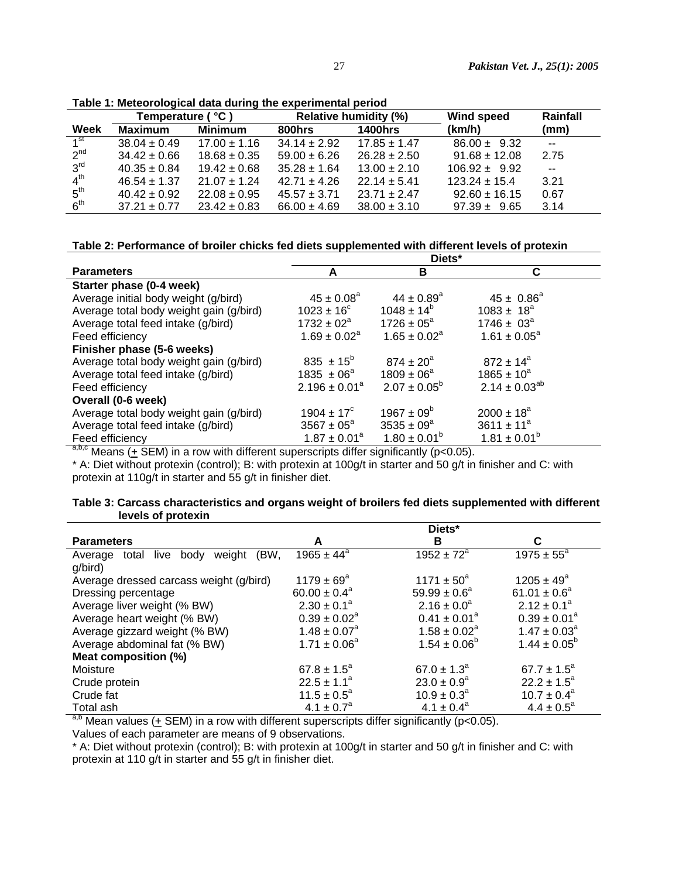|                 | Temperature ( °C ) |                  | <b>Relative humidity (%)</b> |                  | <b>Wind speed</b> | Rainfall                 |
|-----------------|--------------------|------------------|------------------------------|------------------|-------------------|--------------------------|
| Week            | <b>Maximum</b>     | <b>Minimum</b>   | 800hrs                       | <b>1400hrs</b>   | (km/h)            | (mm)                     |
| 1 <sup>st</sup> | $38.04 \pm 0.49$   | $17.00 \pm 1.16$ | $34.14 \pm 2.92$             | $17.85 \pm 1.47$ | $86.00 \pm 9.32$  | $\overline{\phantom{a}}$ |
| $2^{nd}$        | $34.42 \pm 0.66$   | $18.68 \pm 0.35$ | $59.00 \pm 6.26$             | $26.28 \pm 2.50$ | $91.68 \pm 12.08$ | 2.75                     |
| 3 <sup>rd</sup> | $40.35 \pm 0.84$   | $19.42 \pm 0.68$ | $35.28 \pm 1.64$             | $13.00 \pm 2.10$ | $106.92 \pm 9.92$ | $\sim$ $\sim$            |
| 4 <sup>th</sup> | $46.54 \pm 1.37$   | $21.07 \pm 1.24$ | $42.71 \pm 4.26$             | $22.14 \pm 5.41$ | $123.24 \pm 15.4$ | 3.21                     |
| 5 <sup>th</sup> | $40.42 \pm 0.92$   | $22.08 \pm 0.95$ | $45.57 \pm 3.71$             | $23.71 \pm 2.47$ | $92.60 \pm 16.15$ | 0.67                     |
| 6 <sup>th</sup> | $37.21 \pm 0.77$   | $23.42 \pm 0.83$ | $66.00 \pm 4.69$             | $38.00 \pm 3.10$ | $97.39 \pm 9.65$  | 3.14                     |

**Table 1: Meteorological data during the experimental period** 

### **Table 2: Performance of broiler chicks fed diets supplemented with different levels of protexin**

|                                                                                                                                                                                                                                                           | Diets*                                   |                            |                      |  |
|-----------------------------------------------------------------------------------------------------------------------------------------------------------------------------------------------------------------------------------------------------------|------------------------------------------|----------------------------|----------------------|--|
| <b>Parameters</b>                                                                                                                                                                                                                                         | A                                        | в                          | C                    |  |
| Starter phase (0-4 week)                                                                                                                                                                                                                                  |                                          |                            |                      |  |
| Average initial body weight (g/bird)                                                                                                                                                                                                                      | $45 \pm 0.08^{\circ}$                    | $44 \pm 0.89$ <sup>a</sup> | $45 \pm 0.86^a$      |  |
| Average total body weight gain (g/bird)                                                                                                                                                                                                                   | $1023 \pm 16^{\circ}$                    | $1048 \pm 14^{b}$          | $1083 \pm 18^a$      |  |
| Average total feed intake (g/bird)                                                                                                                                                                                                                        | $1732 \pm 02^a$                          | $1726 \pm 05^a$            | $1746 \pm 03^a$      |  |
| Feed efficiency                                                                                                                                                                                                                                           | $1.69 \pm 0.02^a$                        | $1.65 \pm 0.02^a$          | $1.61 \pm 0.05^a$    |  |
| Finisher phase (5-6 weeks)                                                                                                                                                                                                                                |                                          |                            |                      |  |
| Average total body weight gain (g/bird)                                                                                                                                                                                                                   | 835 $\pm$ 15 <sup>b</sup>                | $874 \pm 20^{\circ}$       | $872 \pm 14^a$       |  |
| Average total feed intake (g/bird)                                                                                                                                                                                                                        | $1835 \pm 06^{\circ}$                    | $1809 \pm 06^a$            | $1865 \pm 10^{a}$    |  |
| Feed efficiency                                                                                                                                                                                                                                           | $2.196 \pm 0.01^a$                       | $2.07 \pm 0.05^b$          | $2.14 \pm 0.03^{ab}$ |  |
| Overall (0-6 week)                                                                                                                                                                                                                                        |                                          |                            |                      |  |
| Average total body weight gain (g/bird)                                                                                                                                                                                                                   | $1904 \pm 17^{\circ}$                    | $1967 \pm 09^6$            | $2000 \pm 18^a$      |  |
| Average total feed intake (g/bird)                                                                                                                                                                                                                        | $3567 \pm 05^{\circ}$                    | $3535 \pm 09^{\circ}$      | $3611 \pm 11^a$      |  |
| Feed efficiency                                                                                                                                                                                                                                           | $1.87 \pm 0.01^a$                        | $1.80 \pm 0.01^b$          | $1.81 \pm 0.01^b$    |  |
| $abc_{n+1}$ $c_{n+1}$<br>$\mathbf{r}$ and the contract of the contract of the contract of the contract of the contract of the contract of the contract of the contract of the contract of the contract of the contract of the contract of the contract of | $\mathbf{r}$ . The state of $\mathbf{r}$ |                            |                      |  |

 $a,b,c$  Means ( $\pm$  SEM) in a row with different superscripts differ significantly (p<0.05).

\* A: Diet without protexin (control); B: with protexin at 100g/t in starter and 50 g/t in finisher and C: with protexin at 110g/t in starter and 55 g/t in finisher diet.

|                    | Table 3: Carcass characteristics and organs weight of broilers fed diets supplemented with different |  |
|--------------------|------------------------------------------------------------------------------------------------------|--|
| levels of protexin |                                                                                                      |  |

|                                                 |                        | Diets*                     |                         |
|-------------------------------------------------|------------------------|----------------------------|-------------------------|
| <b>Parameters</b>                               | A                      | в                          | C                       |
| (BW.<br>total live<br>body<br>weight<br>Average | $1965 \pm 44^a$        | $1952 \pm 72^a$            | $1975 \pm 55^{\circ}$   |
| g/bird)                                         |                        |                            |                         |
| Average dressed carcass weight (g/bird)         | $1179 \pm 69^{\circ}$  | $1171 \pm 50^a$            | $1205 \pm 49^a$         |
| Dressing percentage                             | $60.00 \pm 0.4^a$      | $59.99 \pm 0.6^a$          | $61.01 \pm 0.6^a$       |
| Average liver weight (% BW)                     | $2.30 \pm 0.1^{\circ}$ | $2.16 \pm 0.0^a$           | $2.12 \pm 0.1^a$        |
| Average heart weight (% BW)                     | $0.39 \pm 0.02^a$      | $0.41 \pm 0.01^a$          | $0.39 \pm 0.01^a$       |
| Average gizzard weight (% BW)                   | $1.48 \pm 0.07^a$      | $1.58 \pm 0.02^a$          | $1.47 \pm 0.03^a$       |
| Average abdominal fat (% BW)                    | $1.71 \pm 0.06^a$      | $1.54 \pm 0.06^b$          | $1.44 \pm 0.05^{\circ}$ |
| Meat composition (%)                            |                        |                            |                         |
| Moisture                                        | $67.8 \pm 1.5^a$       | $67.0 \pm 1.3^a$           | $67.7 \pm 1.5^{\circ}$  |
| Crude protein                                   | $22.5 \pm 1.1^a$       | $23.0 \pm 0.9^a$           | $22.2 \pm 1.5^a$        |
| Crude fat                                       | $11.5 \pm 0.5^a$       | $10.9 \pm 0.3^{\circ}$     | $10.7 \pm 0.4^{\circ}$  |
| Total ash                                       | $4.1 \pm 0.7^a$        | $4.1 \pm 0.4^a$            | $4.4 \pm 0.5^{\circ}$   |
| 2h<br>$- - - -$                                 |                        | $\cdots$ $\cdots$ $\cdots$ |                         |

 $a,b$  Mean values ( $\pm$  SEM) in a row with different superscripts differ significantly (p<0.05). Values of each parameter are means of 9 observations.

\* A: Diet without protexin (control); B: with protexin at 100g/t in starter and 50 g/t in finisher and C: with protexin at 110 g/t in starter and 55 g/t in finisher diet.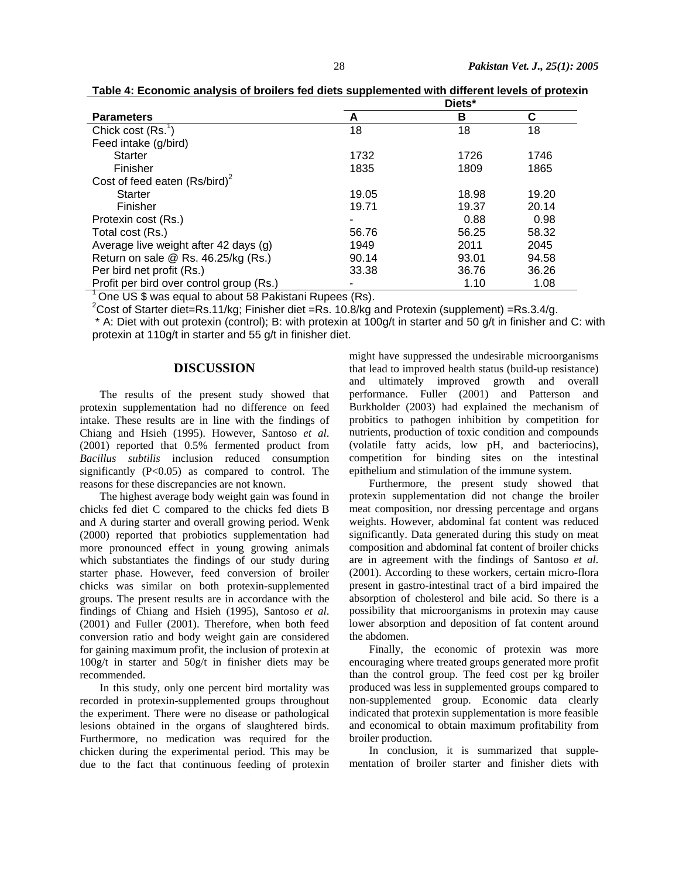| <b>Parameters</b>                        | А     | в     | С     |
|------------------------------------------|-------|-------|-------|
| Chick cost $(Rs^1)$                      | 18    | 18    | 18    |
| Feed intake (g/bird)                     |       |       |       |
| <b>Starter</b>                           | 1732  | 1726  | 1746  |
| Finisher                                 | 1835  | 1809  | 1865  |
| Cost of feed eaten $(Rs/bird)^2$         |       |       |       |
| <b>Starter</b>                           | 19.05 | 18.98 | 19.20 |
| Finisher                                 | 19.71 | 19.37 | 20.14 |
| Protexin cost (Rs.)                      |       | 0.88  | 0.98  |
| Total cost (Rs.)                         | 56.76 | 56.25 | 58.32 |
| Average live weight after 42 days (g)    | 1949  | 2011  | 2045  |
| Return on sale @ Rs. 46.25/kg (Rs.)      | 90.14 | 93.01 | 94.58 |
| Per bird net profit (Rs.)                | 33.38 | 36.76 | 36.26 |
| Profit per bird over control group (Rs.) |       | 1.10  | 1.08  |

**Table 4: Economic analysis of broilers fed diets supplemented with different levels of protexin** 

 $1$  One US \$ was equal to about 58 Pakistani Rupees (Rs).

<sup>2</sup>Cost of Starter diet=Rs.11/kg; Finisher diet =Rs. 10.8/kg and Protexin (supplement) =Rs.3.4/g.

 \* A: Diet with out protexin (control); B: with protexin at 100g/t in starter and 50 g/t in finisher and C: with protexin at 110g/t in starter and 55 g/t in finisher diet.

### **DISCUSSION**

The results of the present study showed that protexin supplementation had no difference on feed intake. These results are in line with the findings of Chiang and Hsieh (1995). However, Santoso *et al*. (2001) reported that 0.5% fermented product from *Bacillus subtilis* inclusion reduced consumption significantly  $(P<0.05)$  as compared to control. The reasons for these discrepancies are not known.

The highest average body weight gain was found in chicks fed diet C compared to the chicks fed diets B and A during starter and overall growing period. Wenk (2000) reported that probiotics supplementation had more pronounced effect in young growing animals which substantiates the findings of our study during starter phase. However, feed conversion of broiler chicks was similar on both protexin-supplemented groups. The present results are in accordance with the findings of Chiang and Hsieh (1995), Santoso *et al*. (2001) and Fuller (2001). Therefore, when both feed conversion ratio and body weight gain are considered for gaining maximum profit, the inclusion of protexin at 100g/t in starter and 50g/t in finisher diets may be recommended.

In this study, only one percent bird mortality was recorded in protexin-supplemented groups throughout the experiment. There were no disease or pathological lesions obtained in the organs of slaughtered birds. Furthermore, no medication was required for the chicken during the experimental period. This may be due to the fact that continuous feeding of protexin might have suppressed the undesirable microorganisms that lead to improved health status (build-up resistance) and ultimately improved growth and overall performance. Fuller (2001) and Patterson and Burkholder (2003) had explained the mechanism of probitics to pathogen inhibition by competition for nutrients, production of toxic condition and compounds (volatile fatty acids, low pH, and bacteriocins), competition for binding sites on the intestinal epithelium and stimulation of the immune system.

Furthermore, the present study showed that protexin supplementation did not change the broiler meat composition, nor dressing percentage and organs weights. However, abdominal fat content was reduced significantly. Data generated during this study on meat composition and abdominal fat content of broiler chicks are in agreement with the findings of Santoso *et al.*  (2001). According to these workers, certain micro-flora present in gastro-intestinal tract of a bird impaired the absorption of cholesterol and bile acid. So there is a possibility that microorganisms in protexin may cause lower absorption and deposition of fat content around the abdomen.

Finally, the economic of protexin was more encouraging where treated groups generated more profit than the control group. The feed cost per kg broiler produced was less in supplemented groups compared to non-supplemented group. Economic data clearly indicated that protexin supplementation is more feasible and economical to obtain maximum profitability from broiler production.

In conclusion, it is summarized that supplementation of broiler starter and finisher diets with